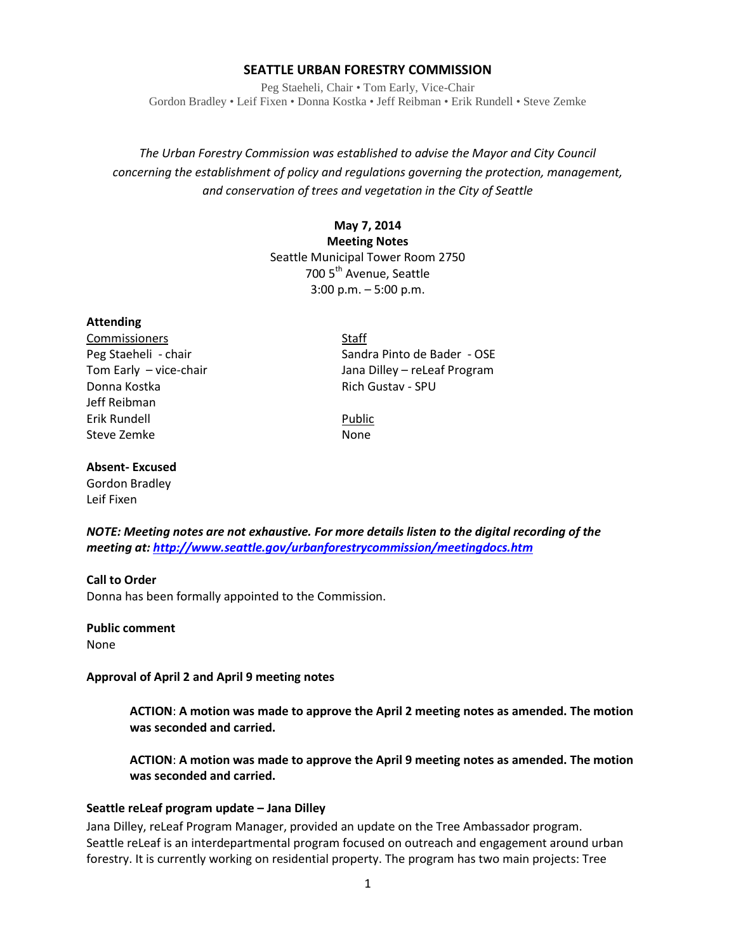#### **SEATTLE URBAN FORESTRY COMMISSION**

Peg Staeheli, Chair • Tom Early, Vice-Chair Gordon Bradley • Leif Fixen • Donna Kostka • Jeff Reibman • Erik Rundell • Steve Zemke

# *The Urban Forestry Commission was established to advise the Mayor and City Council concerning the establishment of policy and regulations governing the protection, management, and conservation of trees and vegetation in the City of Seattle*

# **May 7, 2014 Meeting Notes** Seattle Municipal Tower Room 2750 700 5<sup>th</sup> Avenue, Seattle 3:00 p.m. – 5:00 p.m.

#### **Attending**

Commissioners Staff Donna Kostka Rich Gustav - SPU Jeff Reibman Erik Rundell Public Steve Zemke None

Peg Staeheli - chair Sandra Pinto de Bader - OSE Tom Early – vice-chair and the state of the Jana Dilley – reLeaf Program

#### **Absent- Excused**

Gordon Bradley Leif Fixen

*NOTE: Meeting notes are not exhaustive. For more details listen to the digital recording of the meeting at[: http://www.seattle.gov/urbanforestrycommission/meetingdocs.htm](http://www.seattle.gov/urbanforestrycommission/meetingdocs.htm)*

#### **Call to Order** Donna has been formally appointed to the Commission.

**Public comment** None

**Approval of April 2 and April 9 meeting notes**

**ACTION**: **A motion was made to approve the April 2 meeting notes as amended. The motion was seconded and carried.** 

**ACTION**: **A motion was made to approve the April 9 meeting notes as amended. The motion was seconded and carried.** 

#### **Seattle reLeaf program update – Jana Dilley**

Jana Dilley, reLeaf Program Manager, provided an update on the Tree Ambassador program. Seattle reLeaf is an interdepartmental program focused on outreach and engagement around urban forestry. It is currently working on residential property. The program has two main projects: Tree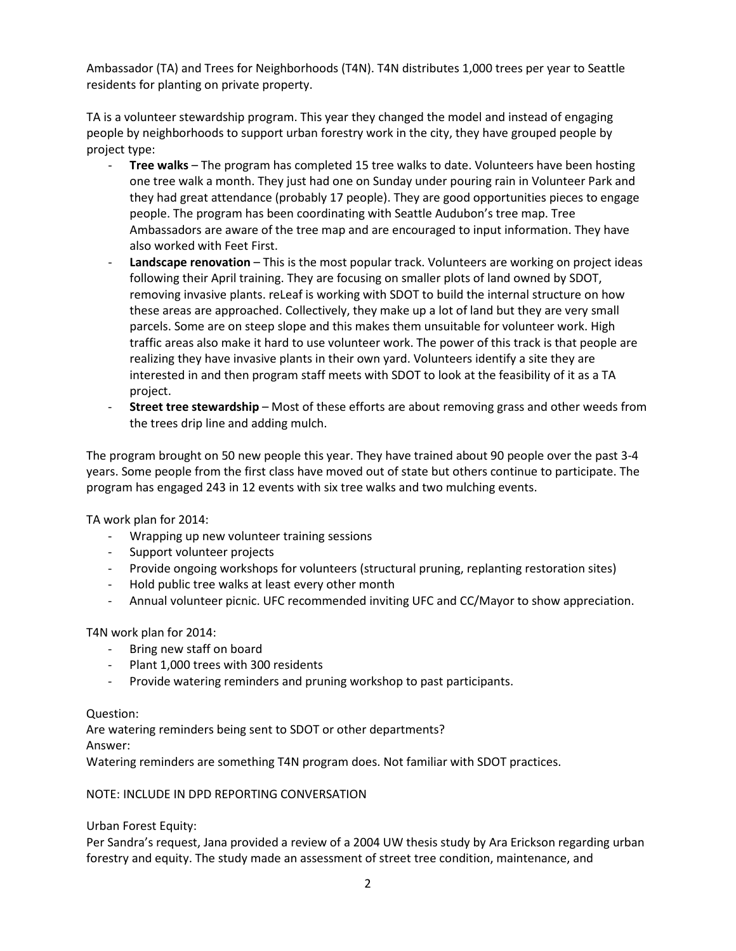Ambassador (TA) and Trees for Neighborhoods (T4N). T4N distributes 1,000 trees per year to Seattle residents for planting on private property.

TA is a volunteer stewardship program. This year they changed the model and instead of engaging people by neighborhoods to support urban forestry work in the city, they have grouped people by project type:

- **Tree walks** The program has completed 15 tree walks to date. Volunteers have been hosting one tree walk a month. They just had one on Sunday under pouring rain in Volunteer Park and they had great attendance (probably 17 people). They are good opportunities pieces to engage people. The program has been coordinating with Seattle Audubon's tree map. Tree Ambassadors are aware of the tree map and are encouraged to input information. They have also worked with Feet First.
- **Landscape renovation** This is the most popular track. Volunteers are working on project ideas following their April training. They are focusing on smaller plots of land owned by SDOT, removing invasive plants. reLeaf is working with SDOT to build the internal structure on how these areas are approached. Collectively, they make up a lot of land but they are very small parcels. Some are on steep slope and this makes them unsuitable for volunteer work. High traffic areas also make it hard to use volunteer work. The power of this track is that people are realizing they have invasive plants in their own yard. Volunteers identify a site they are interested in and then program staff meets with SDOT to look at the feasibility of it as a TA project.
- **Street tree stewardship** Most of these efforts are about removing grass and other weeds from the trees drip line and adding mulch.

The program brought on 50 new people this year. They have trained about 90 people over the past 3-4 years. Some people from the first class have moved out of state but others continue to participate. The program has engaged 243 in 12 events with six tree walks and two mulching events.

TA work plan for 2014:

- Wrapping up new volunteer training sessions
- Support volunteer projects
- Provide ongoing workshops for volunteers (structural pruning, replanting restoration sites)
- Hold public tree walks at least every other month
- Annual volunteer picnic. UFC recommended inviting UFC and CC/Mayor to show appreciation.

T4N work plan for 2014:

- Bring new staff on board
- Plant 1,000 trees with 300 residents
- Provide watering reminders and pruning workshop to past participants.

## Question:

Are watering reminders being sent to SDOT or other departments? Answer:

Watering reminders are something T4N program does. Not familiar with SDOT practices.

## NOTE: INCLUDE IN DPD REPORTING CONVERSATION

Urban Forest Equity:

Per Sandra's request, Jana provided a review of a 2004 UW thesis study by Ara Erickson regarding urban forestry and equity. The study made an assessment of street tree condition, maintenance, and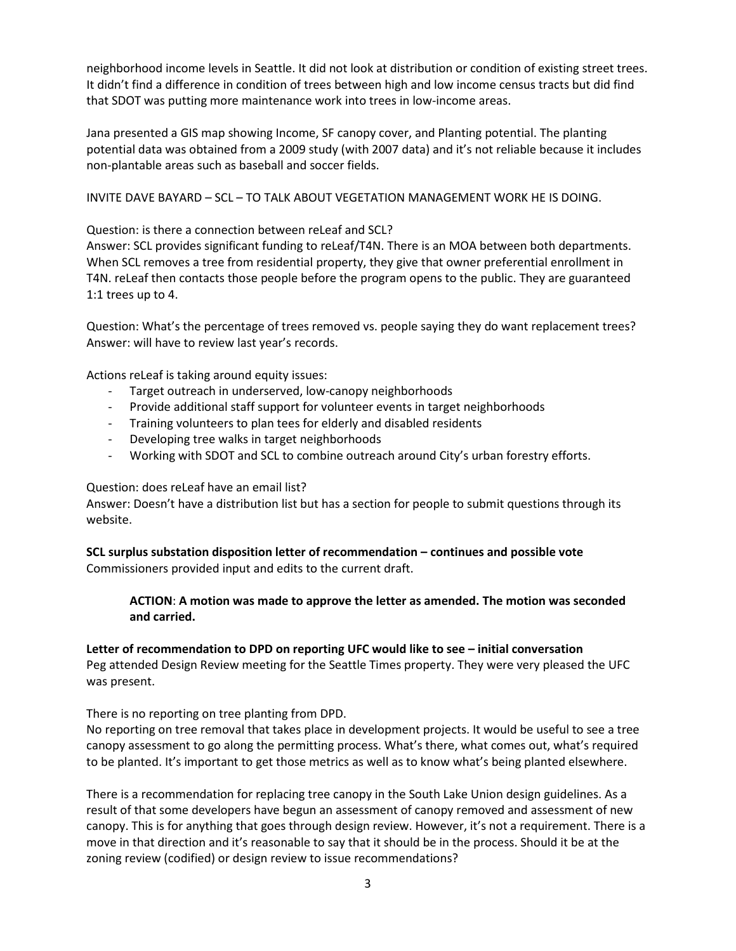neighborhood income levels in Seattle. It did not look at distribution or condition of existing street trees. It didn't find a difference in condition of trees between high and low income census tracts but did find that SDOT was putting more maintenance work into trees in low-income areas.

Jana presented a GIS map showing Income, SF canopy cover, and Planting potential. The planting potential data was obtained from a 2009 study (with 2007 data) and it's not reliable because it includes non-plantable areas such as baseball and soccer fields.

INVITE DAVE BAYARD – SCL – TO TALK ABOUT VEGETATION MANAGEMENT WORK HE IS DOING.

Question: is there a connection between reLeaf and SCL?

Answer: SCL provides significant funding to reLeaf/T4N. There is an MOA between both departments. When SCL removes a tree from residential property, they give that owner preferential enrollment in T4N. reLeaf then contacts those people before the program opens to the public. They are guaranteed 1:1 trees up to 4.

Question: What's the percentage of trees removed vs. people saying they do want replacement trees? Answer: will have to review last year's records.

Actions reLeaf is taking around equity issues:

- Target outreach in underserved, low-canopy neighborhoods
- Provide additional staff support for volunteer events in target neighborhoods
- Training volunteers to plan tees for elderly and disabled residents
- Developing tree walks in target neighborhoods
- Working with SDOT and SCL to combine outreach around City's urban forestry efforts.

## Question: does reLeaf have an email list?

Answer: Doesn't have a distribution list but has a section for people to submit questions through its website.

**SCL surplus substation disposition letter of recommendation – continues and possible vote** Commissioners provided input and edits to the current draft.

**ACTION**: **A motion was made to approve the letter as amended. The motion was seconded and carried.** 

**Letter of recommendation to DPD on reporting UFC would like to see – initial conversation**

Peg attended Design Review meeting for the Seattle Times property. They were very pleased the UFC was present.

There is no reporting on tree planting from DPD.

No reporting on tree removal that takes place in development projects. It would be useful to see a tree canopy assessment to go along the permitting process. What's there, what comes out, what's required to be planted. It's important to get those metrics as well as to know what's being planted elsewhere.

There is a recommendation for replacing tree canopy in the South Lake Union design guidelines. As a result of that some developers have begun an assessment of canopy removed and assessment of new canopy. This is for anything that goes through design review. However, it's not a requirement. There is a move in that direction and it's reasonable to say that it should be in the process. Should it be at the zoning review (codified) or design review to issue recommendations?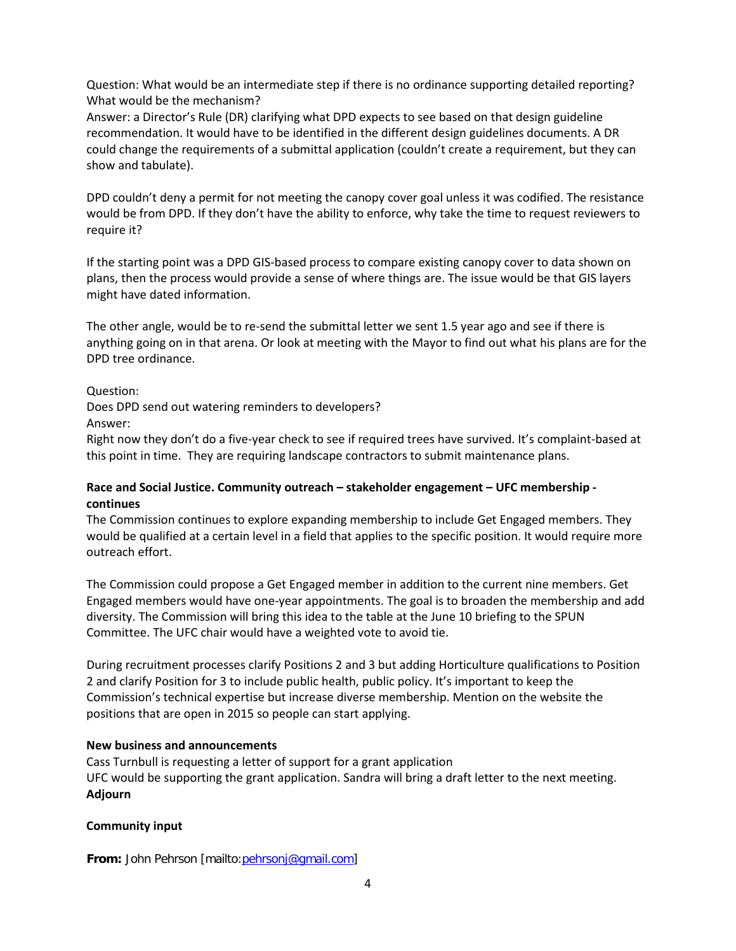Question: What would be an intermediate step if there is no ordinance supporting detailed reporting? What would be the mechanism?

Answer: a Director's Rule (DR) clarifying what DPD expects to see based on that design guideline recommendation. It would have to be identified in the different design guidelines documents. A DR could change the requirements of a submittal application (couldn't create a requirement, but they can show and tabulate).

DPD couldn't deny a permit for not meeting the canopy cover goal unless it was codified. The resistance would be from DPD. If they don't have the ability to enforce, why take the time to request reviewers to require it?

If the starting point was a DPD GIS-based process to compare existing canopy cover to data shown on plans, then the process would provide a sense of where things are. The issue would be that GIS layers might have dated information.

The other angle, would be to re-send the submittal letter we sent 1.5 year ago and see if there is anything going on in that arena. Or look at meeting with the Mayor to find out what his plans are for the DPD tree ordinance.

## Question:

Does DPD send out watering reminders to developers?

Answer:

Right now they don't do a five-year check to see if required trees have survived. It's complaint-based at this point in time. They are requiring landscape contractors to submit maintenance plans.

## **Race and Social Justice. Community outreach – stakeholder engagement – UFC membership continues**

The Commission continues to explore expanding membership to include Get Engaged members. They would be qualified at a certain level in a field that applies to the specific position. It would require more outreach effort.

The Commission could propose a Get Engaged member in addition to the current nine members. Get Engaged members would have one-year appointments. The goal is to broaden the membership and add diversity. The Commission will bring this idea to the table at the June 10 briefing to the SPUN Committee. The UFC chair would have a weighted vote to avoid tie.

During recruitment processes clarify Positions 2 and 3 but adding Horticulture qualifications to Position 2 and clarify Position for 3 to include public health, public policy. It's important to keep the Commission's technical expertise but increase diverse membership. Mention on the website the positions that are open in 2015 so people can start applying.

## **New business and announcements**

Cass Turnbull is requesting a letter of support for a grant application UFC would be supporting the grant application. Sandra will bring a draft letter to the next meeting. **Adjourn**

# **Community input**

**From:** John Pehrson [mailto[:pehrsonj@gmail.com\]](mailto:pehrsonj@gmail.com)